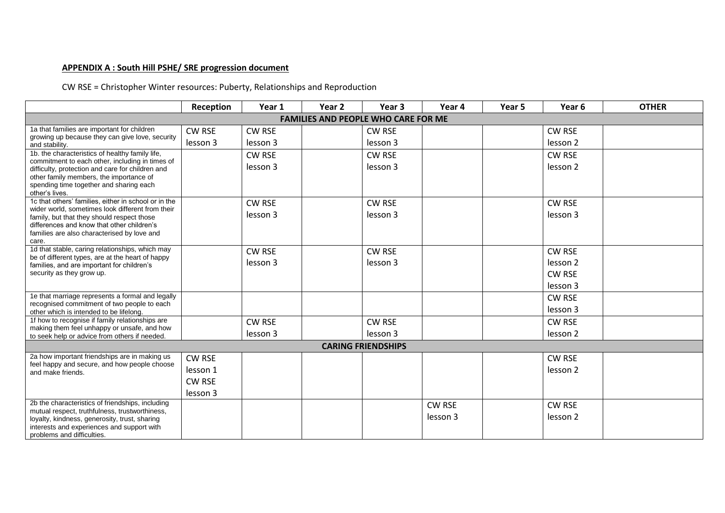## **APPENDIX A : South Hill PSHE/ SRE progression document**

CW RSE = Christopher Winter resources: Puberty, Relationships and Reproduction

|                                                                                                     | Reception     | Year 1        | Year 2 | Year 3                    | Year 4        | Year 5 | Year <sub>6</sub>   | <b>OTHER</b> |  |  |
|-----------------------------------------------------------------------------------------------------|---------------|---------------|--------|---------------------------|---------------|--------|---------------------|--------------|--|--|
| <b>FAMILIES AND PEOPLE WHO CARE FOR ME</b>                                                          |               |               |        |                           |               |        |                     |              |  |  |
| 1a that families are important for children                                                         | <b>CW RSE</b> | <b>CW RSE</b> |        | <b>CW RSE</b>             |               |        | <b>CW RSE</b>       |              |  |  |
| growing up because they can give love, security<br>and stability.                                   | lesson 3      | lesson 3      |        | lesson 3                  |               |        | lesson <sub>2</sub> |              |  |  |
| 1b. the characteristics of healthy family life,                                                     |               | <b>CW RSE</b> |        | <b>CW RSE</b>             |               |        | <b>CW RSE</b>       |              |  |  |
| commitment to each other, including in times of<br>difficulty, protection and care for children and |               | lesson 3      |        | lesson 3                  |               |        | lesson <sub>2</sub> |              |  |  |
| other family members, the importance of                                                             |               |               |        |                           |               |        |                     |              |  |  |
| spending time together and sharing each<br>other's lives.                                           |               |               |        |                           |               |        |                     |              |  |  |
| 1c that others' families, either in school or in the                                                |               | <b>CW RSE</b> |        | <b>CW RSE</b>             |               |        | <b>CW RSE</b>       |              |  |  |
| wider world, sometimes look different from their<br>family, but that they should respect those      |               | lesson 3      |        | lesson 3                  |               |        | lesson 3            |              |  |  |
| differences and know that other children's                                                          |               |               |        |                           |               |        |                     |              |  |  |
| families are also characterised by love and<br>care.                                                |               |               |        |                           |               |        |                     |              |  |  |
| 1d that stable, caring relationships, which may                                                     |               | <b>CW RSE</b> |        | <b>CW RSE</b>             |               |        | <b>CW RSE</b>       |              |  |  |
| be of different types, are at the heart of happy<br>families, and are important for children's      |               | lesson 3      |        | lesson 3                  |               |        | lesson <sub>2</sub> |              |  |  |
| security as they grow up.                                                                           |               |               |        |                           |               |        | <b>CW RSE</b>       |              |  |  |
|                                                                                                     |               |               |        |                           |               |        | lesson 3            |              |  |  |
| 1e that marriage represents a formal and legally                                                    |               |               |        |                           |               |        | CW RSE              |              |  |  |
| recognised commitment of two people to each<br>other which is intended to be lifelong.              |               |               |        |                           |               |        | lesson 3            |              |  |  |
| 1f how to recognise if family relationships are                                                     |               | <b>CW RSE</b> |        | <b>CW RSE</b>             |               |        | <b>CW RSE</b>       |              |  |  |
| making them feel unhappy or unsafe, and how<br>to seek help or advice from others if needed.        |               | lesson 3      |        | lesson 3                  |               |        | lesson <sub>2</sub> |              |  |  |
|                                                                                                     |               |               |        | <b>CARING FRIENDSHIPS</b> |               |        |                     |              |  |  |
| 2a how important friendships are in making us                                                       | <b>CW RSE</b> |               |        |                           |               |        | CW RSE              |              |  |  |
| feel happy and secure, and how people choose<br>and make friends.                                   | lesson 1      |               |        |                           |               |        | lesson <sub>2</sub> |              |  |  |
|                                                                                                     | <b>CW RSE</b> |               |        |                           |               |        |                     |              |  |  |
|                                                                                                     | lesson 3      |               |        |                           |               |        |                     |              |  |  |
| 2b the characteristics of friendships, including                                                    |               |               |        |                           | <b>CW RSE</b> |        | <b>CW RSE</b>       |              |  |  |
| mutual respect, truthfulness, trustworthiness,<br>loyalty, kindness, generosity, trust, sharing     |               |               |        |                           | lesson 3      |        | lesson <sub>2</sub> |              |  |  |
| interests and experiences and support with                                                          |               |               |        |                           |               |        |                     |              |  |  |
| problems and difficulties.                                                                          |               |               |        |                           |               |        |                     |              |  |  |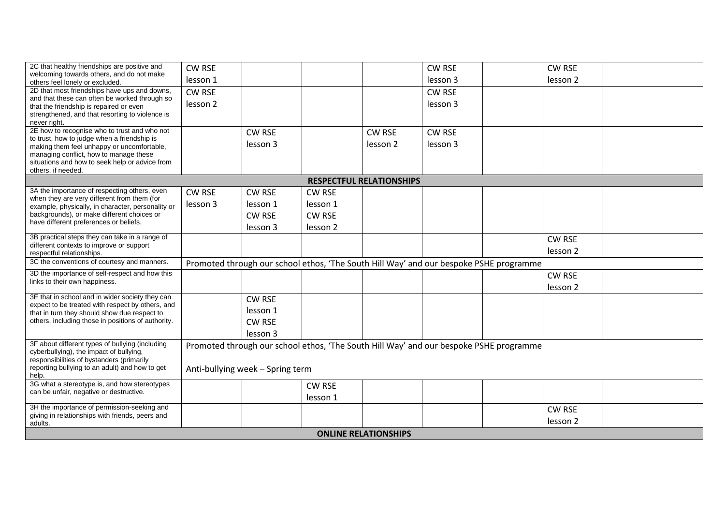| 2C that healthy friendships are positive and                                                       | <b>CW RSE</b>       |                                  |                                                                                        |                                 | <b>CW RSE</b> | <b>CW RSE</b>       |  |
|----------------------------------------------------------------------------------------------------|---------------------|----------------------------------|----------------------------------------------------------------------------------------|---------------------------------|---------------|---------------------|--|
| welcoming towards others, and do not make<br>others feel lonely or excluded.                       | lesson 1            |                                  |                                                                                        |                                 | lesson 3      | lesson <sub>2</sub> |  |
| 2D that most friendships have ups and downs,                                                       | <b>CW RSE</b>       |                                  |                                                                                        |                                 | <b>CW RSE</b> |                     |  |
| and that these can often be worked through so                                                      | lesson <sub>2</sub> |                                  |                                                                                        |                                 | lesson 3      |                     |  |
| that the friendship is repaired or even<br>strengthened, and that resorting to violence is         |                     |                                  |                                                                                        |                                 |               |                     |  |
| never right.                                                                                       |                     |                                  |                                                                                        |                                 |               |                     |  |
| 2E how to recognise who to trust and who not                                                       |                     | <b>CW RSE</b>                    |                                                                                        | <b>CW RSE</b>                   | <b>CW RSE</b> |                     |  |
| to trust, how to judge when a friendship is                                                        |                     | lesson 3                         |                                                                                        | lesson 2                        | lesson 3      |                     |  |
| making them feel unhappy or uncomfortable,<br>managing conflict, how to manage these               |                     |                                  |                                                                                        |                                 |               |                     |  |
| situations and how to seek help or advice from                                                     |                     |                                  |                                                                                        |                                 |               |                     |  |
| others, if needed.                                                                                 |                     |                                  |                                                                                        |                                 |               |                     |  |
|                                                                                                    |                     |                                  |                                                                                        | <b>RESPECTFUL RELATIONSHIPS</b> |               |                     |  |
| 3A the importance of respecting others, even                                                       | <b>CW RSE</b>       | <b>CW RSE</b>                    | <b>CW RSE</b>                                                                          |                                 |               |                     |  |
| when they are very different from them (for<br>example, physically, in character, personality or   | lesson 3            | lesson 1                         | lesson 1                                                                               |                                 |               |                     |  |
| backgrounds), or make different choices or                                                         |                     | <b>CW RSE</b>                    | <b>CW RSE</b>                                                                          |                                 |               |                     |  |
| have different preferences or beliefs.                                                             |                     | lesson 3                         | lesson <sub>2</sub>                                                                    |                                 |               |                     |  |
| 3B practical steps they can take in a range of                                                     |                     |                                  |                                                                                        |                                 |               |                     |  |
| different contexts to improve or support                                                           |                     |                                  |                                                                                        |                                 |               | <b>CW RSE</b>       |  |
| respectful relationships.                                                                          |                     |                                  |                                                                                        |                                 |               | lesson <sub>2</sub> |  |
| 3C the conventions of courtesy and manners.                                                        |                     |                                  | Promoted through our school ethos, 'The South Hill Way' and our bespoke PSHE programme |                                 |               |                     |  |
| 3D the importance of self-respect and how this                                                     |                     |                                  |                                                                                        |                                 |               | <b>CW RSE</b>       |  |
| links to their own happiness.                                                                      |                     |                                  |                                                                                        |                                 |               | lesson 2            |  |
| 3E that in school and in wider society they can                                                    |                     | <b>CW RSE</b>                    |                                                                                        |                                 |               |                     |  |
| expect to be treated with respect by others, and                                                   |                     | lesson 1                         |                                                                                        |                                 |               |                     |  |
| that in turn they should show due respect to<br>others, including those in positions of authority. |                     | <b>CW RSE</b>                    |                                                                                        |                                 |               |                     |  |
|                                                                                                    |                     |                                  |                                                                                        |                                 |               |                     |  |
|                                                                                                    |                     | lesson 3                         |                                                                                        |                                 |               |                     |  |
| 3F about different types of bullying (including<br>cyberbullying), the impact of bullying,         |                     |                                  | Promoted through our school ethos, 'The South Hill Way' and our bespoke PSHE programme |                                 |               |                     |  |
| responsibilities of bystanders (primarily                                                          |                     |                                  |                                                                                        |                                 |               |                     |  |
| reporting bullying to an adult) and how to get                                                     |                     | Anti-bullying week - Spring term |                                                                                        |                                 |               |                     |  |
| help.<br>3G what a stereotype is, and how stereotypes                                              |                     |                                  |                                                                                        |                                 |               |                     |  |
| can be unfair, negative or destructive.                                                            |                     |                                  | <b>CW RSE</b>                                                                          |                                 |               |                     |  |
|                                                                                                    |                     |                                  | lesson 1                                                                               |                                 |               |                     |  |
| 3H the importance of permission-seeking and<br>giving in relationships with friends, peers and     |                     |                                  |                                                                                        |                                 |               | <b>CW RSE</b>       |  |
| adults.                                                                                            |                     |                                  |                                                                                        |                                 |               | lesson 2            |  |
|                                                                                                    |                     |                                  |                                                                                        | <b>ONLINE RELATIONSHIPS</b>     |               |                     |  |
|                                                                                                    |                     |                                  |                                                                                        |                                 |               |                     |  |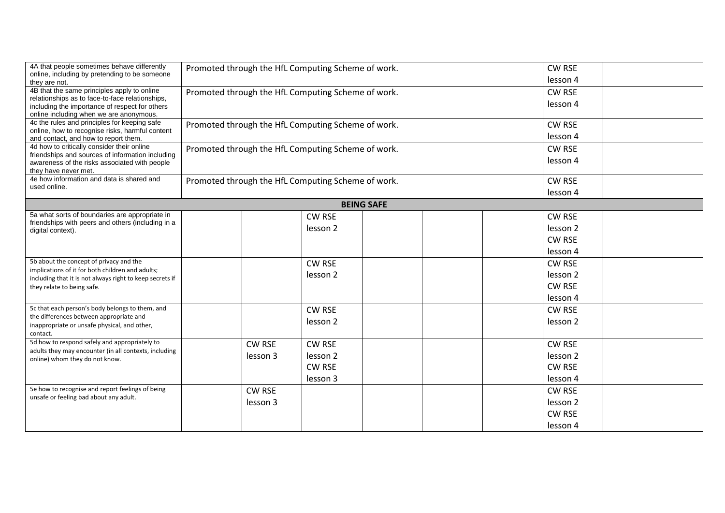| 4A that people sometimes behave differently<br>online, including by pretending to be someone<br>they are not.                                                                               | Promoted through the HfL Computing Scheme of work. |                                                    | CW RSE<br>lesson 4        |  |  |                     |  |
|---------------------------------------------------------------------------------------------------------------------------------------------------------------------------------------------|----------------------------------------------------|----------------------------------------------------|---------------------------|--|--|---------------------|--|
| 4B that the same principles apply to online<br>relationships as to face-to-face relationships,<br>including the importance of respect for others<br>online including when we are anonymous. | Promoted through the HfL Computing Scheme of work. |                                                    | <b>CW RSE</b><br>lesson 4 |  |  |                     |  |
| 4c the rules and principles for keeping safe<br>online, how to recognise risks, harmful content<br>and contact, and how to report them.                                                     | Promoted through the HfL Computing Scheme of work. |                                                    | <b>CW RSE</b><br>lesson 4 |  |  |                     |  |
| 4d how to critically consider their online<br>friendships and sources of information including<br>awareness of the risks associated with people<br>they have never met.                     | Promoted through the HfL Computing Scheme of work. |                                                    |                           |  |  |                     |  |
| 4e how information and data is shared and<br>used online.                                                                                                                                   |                                                    | Promoted through the HfL Computing Scheme of work. |                           |  |  | <b>CW RSE</b>       |  |
|                                                                                                                                                                                             |                                                    |                                                    | <b>BEING SAFE</b>         |  |  | lesson 4            |  |
| 5a what sorts of boundaries are appropriate in                                                                                                                                              |                                                    | <b>CW RSE</b>                                      |                           |  |  | <b>CW RSE</b>       |  |
| friendships with peers and others (including in a<br>digital context).                                                                                                                      |                                                    | lesson 2                                           |                           |  |  | lesson <sub>2</sub> |  |
|                                                                                                                                                                                             |                                                    |                                                    |                           |  |  | <b>CW RSE</b>       |  |
|                                                                                                                                                                                             |                                                    |                                                    |                           |  |  | lesson 4            |  |
| 5b about the concept of privacy and the<br>implications of it for both children and adults;                                                                                                 |                                                    | <b>CW RSE</b>                                      |                           |  |  | <b>CW RSE</b>       |  |
| including that it is not always right to keep secrets if                                                                                                                                    |                                                    | lesson 2                                           |                           |  |  | lesson 2            |  |
| they relate to being safe.                                                                                                                                                                  |                                                    |                                                    |                           |  |  | <b>CW RSE</b>       |  |
|                                                                                                                                                                                             |                                                    |                                                    |                           |  |  | lesson 4            |  |
| 5c that each person's body belongs to them, and                                                                                                                                             |                                                    | <b>CW RSE</b>                                      |                           |  |  | <b>CW RSE</b>       |  |
| the differences between appropriate and<br>inappropriate or unsafe physical, and other,<br>contact.                                                                                         |                                                    | lesson <sub>2</sub>                                |                           |  |  | lesson 2            |  |
| 5d how to respond safely and appropriately to                                                                                                                                               | <b>CW RSE</b>                                      | <b>CW RSE</b>                                      |                           |  |  | <b>CW RSE</b>       |  |
| adults they may encounter (in all contexts, including                                                                                                                                       | lesson 3                                           | lesson 2                                           |                           |  |  | lesson <sub>2</sub> |  |
| online) whom they do not know.                                                                                                                                                              |                                                    | <b>CW RSE</b>                                      |                           |  |  | <b>CW RSE</b>       |  |
|                                                                                                                                                                                             |                                                    | lesson 3                                           |                           |  |  | lesson 4            |  |
| 5e how to recognise and report feelings of being                                                                                                                                            | <b>CW RSE</b>                                      |                                                    |                           |  |  | <b>CW RSE</b>       |  |
| unsafe or feeling bad about any adult.                                                                                                                                                      | lesson 3                                           |                                                    |                           |  |  | lesson 2            |  |
|                                                                                                                                                                                             |                                                    |                                                    |                           |  |  | <b>CW RSE</b>       |  |
|                                                                                                                                                                                             |                                                    |                                                    |                           |  |  | lesson 4            |  |
|                                                                                                                                                                                             |                                                    |                                                    |                           |  |  |                     |  |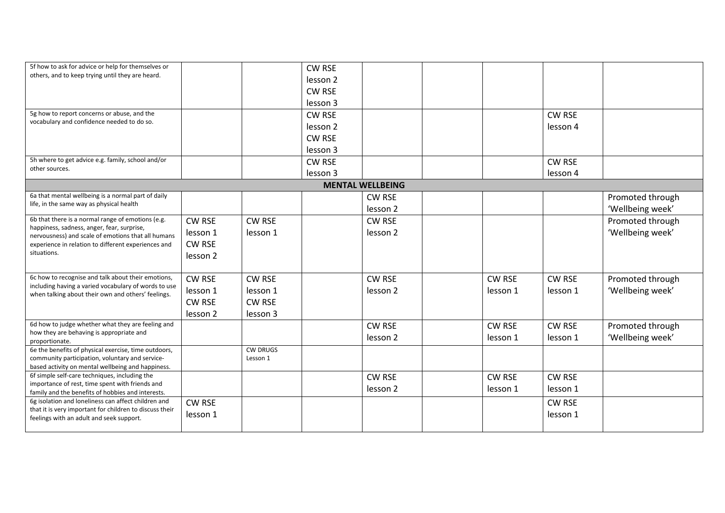| 5f how to ask for advice or help for themselves or                                                 |                     |                 | <b>CW RSE</b>       |                         |               |               |                  |
|----------------------------------------------------------------------------------------------------|---------------------|-----------------|---------------------|-------------------------|---------------|---------------|------------------|
| others, and to keep trying until they are heard.                                                   |                     |                 | lesson <sub>2</sub> |                         |               |               |                  |
|                                                                                                    |                     |                 | <b>CW RSE</b>       |                         |               |               |                  |
|                                                                                                    |                     |                 |                     |                         |               |               |                  |
|                                                                                                    |                     |                 | lesson 3            |                         |               |               |                  |
| 5g how to report concerns or abuse, and the<br>vocabulary and confidence needed to do so.          |                     |                 | <b>CW RSE</b>       |                         |               | <b>CW RSE</b> |                  |
|                                                                                                    |                     |                 | lesson <sub>2</sub> |                         |               | lesson 4      |                  |
|                                                                                                    |                     |                 | <b>CW RSE</b>       |                         |               |               |                  |
|                                                                                                    |                     |                 | lesson 3            |                         |               |               |                  |
| 5h where to get advice e.g. family, school and/or                                                  |                     |                 | <b>CW RSE</b>       |                         |               | <b>CW RSE</b> |                  |
| other sources.                                                                                     |                     |                 | lesson 3            |                         |               | lesson 4      |                  |
|                                                                                                    |                     |                 |                     | <b>MENTAL WELLBEING</b> |               |               |                  |
| 6a that mental wellbeing is a normal part of daily                                                 |                     |                 |                     | <b>CW RSE</b>           |               |               | Promoted through |
| life, in the same way as physical health                                                           |                     |                 |                     |                         |               |               |                  |
|                                                                                                    |                     |                 |                     | lesson 2                |               |               | 'Wellbeing week' |
| 6b that there is a normal range of emotions (e.g.<br>happiness, sadness, anger, fear, surprise,    | <b>CW RSE</b>       | <b>CW RSE</b>   |                     | CW RSE                  |               |               | Promoted through |
| nervousness) and scale of emotions that all humans                                                 | lesson 1            | lesson 1        |                     | lesson 2                |               |               | 'Wellbeing week' |
| experience in relation to different experiences and                                                | <b>CW RSE</b>       |                 |                     |                         |               |               |                  |
| situations.                                                                                        | lesson 2            |                 |                     |                         |               |               |                  |
|                                                                                                    |                     |                 |                     |                         |               |               |                  |
| 6c how to recognise and talk about their emotions,                                                 | <b>CW RSE</b>       | <b>CW RSE</b>   |                     | <b>CW RSE</b>           | <b>CW RSE</b> | <b>CW RSE</b> | Promoted through |
| including having a varied vocabulary of words to use                                               | lesson 1            | lesson 1        |                     | lesson <sub>2</sub>     | lesson 1      | lesson 1      | 'Wellbeing week' |
| when talking about their own and others' feelings.                                                 | <b>CW RSE</b>       | <b>CW RSE</b>   |                     |                         |               |               |                  |
|                                                                                                    |                     |                 |                     |                         |               |               |                  |
| 6d how to judge whether what they are feeling and                                                  | lesson <sub>2</sub> | lesson 3        |                     |                         |               |               |                  |
| how they are behaving is appropriate and                                                           |                     |                 |                     | CW RSE                  | <b>CW RSE</b> | <b>CW RSE</b> | Promoted through |
| proportionate.                                                                                     |                     |                 |                     | lesson 2                | lesson 1      | lesson 1      | 'Wellbeing week' |
| 6e the benefits of physical exercise, time outdoors,                                               |                     | <b>CW DRUGS</b> |                     |                         |               |               |                  |
| community participation, voluntary and service-                                                    |                     | Lesson 1        |                     |                         |               |               |                  |
| based activity on mental wellbeing and happiness.<br>6f simple self-care techniques, including the |                     |                 |                     |                         |               |               |                  |
| importance of rest, time spent with friends and                                                    |                     |                 |                     | <b>CW RSE</b>           | <b>CW RSE</b> | <b>CW RSE</b> |                  |
| family and the benefits of hobbies and interests.                                                  |                     |                 |                     | lesson <sub>2</sub>     | lesson 1      | lesson 1      |                  |
| 6g isolation and loneliness can affect children and                                                | <b>CW RSE</b>       |                 |                     |                         |               | <b>CW RSE</b> |                  |
| that it is very important for children to discuss their                                            | lesson 1            |                 |                     |                         |               | lesson 1      |                  |
| feelings with an adult and seek support.                                                           |                     |                 |                     |                         |               |               |                  |
|                                                                                                    |                     |                 |                     |                         |               |               |                  |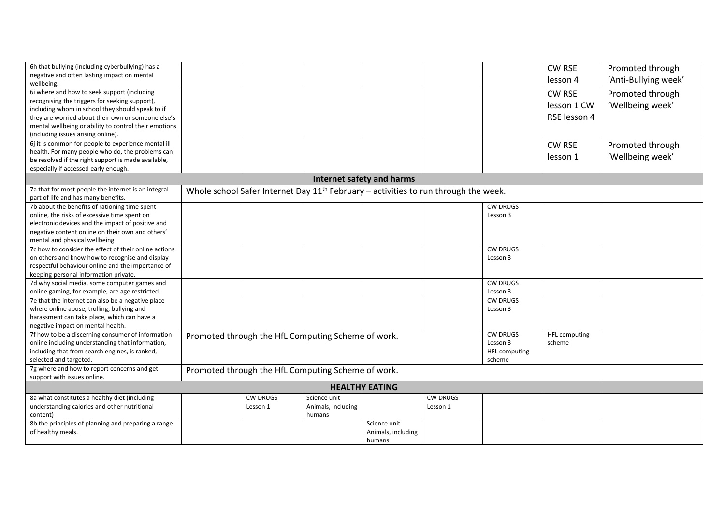| 6h that bullying (including cyberbullying) has a                                                                                             |  |                 |                                                    |                                  |                 |                 | CW RSE               | Promoted through     |  |
|----------------------------------------------------------------------------------------------------------------------------------------------|--|-----------------|----------------------------------------------------|----------------------------------|-----------------|-----------------|----------------------|----------------------|--|
| negative and often lasting impact on mental                                                                                                  |  |                 |                                                    |                                  |                 |                 |                      |                      |  |
| wellbeing.                                                                                                                                   |  |                 |                                                    |                                  |                 |                 | lesson 4             | 'Anti-Bullying week' |  |
| 6i where and how to seek support (including                                                                                                  |  |                 |                                                    |                                  |                 |                 | <b>CW RSE</b>        | Promoted through     |  |
| recognising the triggers for seeking support),                                                                                               |  |                 |                                                    |                                  |                 |                 |                      |                      |  |
| including whom in school they should speak to if                                                                                             |  |                 |                                                    |                                  |                 |                 | lesson 1 CW          | 'Wellbeing week'     |  |
| they are worried about their own or someone else's                                                                                           |  |                 |                                                    |                                  |                 |                 | RSE lesson 4         |                      |  |
| mental wellbeing or ability to control their emotions                                                                                        |  |                 |                                                    |                                  |                 |                 |                      |                      |  |
| (including issues arising online).                                                                                                           |  |                 |                                                    |                                  |                 |                 |                      |                      |  |
| 6j it is common for people to experience mental ill                                                                                          |  |                 |                                                    |                                  |                 |                 | <b>CW RSE</b>        | Promoted through     |  |
| health. For many people who do, the problems can                                                                                             |  |                 |                                                    |                                  |                 |                 |                      |                      |  |
| be resolved if the right support is made available,                                                                                          |  |                 |                                                    |                                  |                 |                 | lesson 1             | 'Wellbeing week'     |  |
| especially if accessed early enough.                                                                                                         |  |                 |                                                    |                                  |                 |                 |                      |                      |  |
|                                                                                                                                              |  |                 |                                                    | <b>Internet safety and harms</b> |                 |                 |                      |                      |  |
| 7a that for most people the internet is an integral<br>Whole school Safer Internet Day $11th$ February – activities to run through the week. |  |                 |                                                    |                                  |                 |                 |                      |                      |  |
| part of life and has many benefits.                                                                                                          |  |                 |                                                    |                                  |                 |                 |                      |                      |  |
| 7b about the benefits of rationing time spent                                                                                                |  |                 |                                                    |                                  |                 | <b>CW DRUGS</b> |                      |                      |  |
| online, the risks of excessive time spent on                                                                                                 |  |                 |                                                    |                                  |                 | Lesson 3        |                      |                      |  |
| electronic devices and the impact of positive and                                                                                            |  |                 |                                                    |                                  |                 |                 |                      |                      |  |
| negative content online on their own and others'                                                                                             |  |                 |                                                    |                                  |                 |                 |                      |                      |  |
| mental and physical wellbeing                                                                                                                |  |                 |                                                    |                                  |                 |                 |                      |                      |  |
| 7c how to consider the effect of their online actions                                                                                        |  |                 |                                                    |                                  |                 | <b>CW DRUGS</b> |                      |                      |  |
| on others and know how to recognise and display                                                                                              |  |                 |                                                    |                                  |                 | Lesson 3        |                      |                      |  |
| respectful behaviour online and the importance of                                                                                            |  |                 |                                                    |                                  |                 |                 |                      |                      |  |
| keeping personal information private.                                                                                                        |  |                 |                                                    |                                  |                 |                 |                      |                      |  |
| 7d why social media, some computer games and                                                                                                 |  |                 |                                                    |                                  |                 | <b>CW DRUGS</b> |                      |                      |  |
| online gaming, for example, are age restricted.                                                                                              |  |                 |                                                    |                                  |                 | Lesson 3        |                      |                      |  |
| 7e that the internet can also be a negative place                                                                                            |  |                 |                                                    |                                  |                 | <b>CW DRUGS</b> |                      |                      |  |
| where online abuse, trolling, bullying and                                                                                                   |  |                 |                                                    |                                  |                 | Lesson 3        |                      |                      |  |
| harassment can take place, which can have a                                                                                                  |  |                 |                                                    |                                  |                 |                 |                      |                      |  |
| negative impact on mental health.                                                                                                            |  |                 |                                                    |                                  |                 |                 |                      |                      |  |
| 7f how to be a discerning consumer of information                                                                                            |  |                 |                                                    |                                  |                 | <b>CW DRUGS</b> | <b>HFL computing</b> |                      |  |
| online including understanding that information,                                                                                             |  |                 | Promoted through the HfL Computing Scheme of work. |                                  |                 | Lesson 3        | scheme               |                      |  |
| including that from search engines, is ranked,                                                                                               |  |                 |                                                    |                                  |                 | HFL computing   |                      |                      |  |
| selected and targeted.                                                                                                                       |  |                 |                                                    |                                  |                 | scheme          |                      |                      |  |
| 7g where and how to report concerns and get                                                                                                  |  |                 | Promoted through the HfL Computing Scheme of work. |                                  |                 |                 |                      |                      |  |
| support with issues online.                                                                                                                  |  |                 |                                                    |                                  |                 |                 |                      |                      |  |
| <b>HEALTHY EATING</b>                                                                                                                        |  |                 |                                                    |                                  |                 |                 |                      |                      |  |
| 8a what constitutes a healthy diet (including                                                                                                |  | <b>CW DRUGS</b> | Science unit                                       |                                  | <b>CW DRUGS</b> |                 |                      |                      |  |
| understanding calories and other nutritional                                                                                                 |  | Lesson 1        | Animals, including                                 |                                  | Lesson 1        |                 |                      |                      |  |
| content)                                                                                                                                     |  |                 | humans                                             |                                  |                 |                 |                      |                      |  |
| 8b the principles of planning and preparing a range                                                                                          |  |                 |                                                    | Science unit                     |                 |                 |                      |                      |  |
| of healthy meals.                                                                                                                            |  |                 |                                                    | Animals, including               |                 |                 |                      |                      |  |
|                                                                                                                                              |  |                 |                                                    | humans                           |                 |                 |                      |                      |  |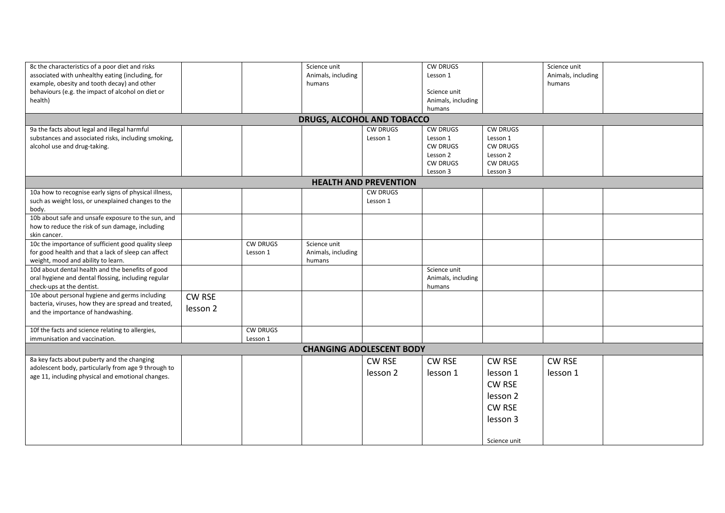| 8c the characteristics of a poor diet and risks       |                            |                 | Science unit       |                              | <b>CW DRUGS</b>    |                 | Science unit       |  |  |  |  |
|-------------------------------------------------------|----------------------------|-----------------|--------------------|------------------------------|--------------------|-----------------|--------------------|--|--|--|--|
| associated with unhealthy eating (including, for      |                            |                 | Animals, including |                              | Lesson 1           |                 | Animals, including |  |  |  |  |
| example, obesity and tooth decay) and other           |                            |                 | humans             |                              |                    |                 | humans             |  |  |  |  |
| behaviours (e.g. the impact of alcohol on diet or     |                            |                 |                    |                              | Science unit       |                 |                    |  |  |  |  |
| health)                                               |                            |                 |                    |                              | Animals, including |                 |                    |  |  |  |  |
|                                                       |                            |                 |                    |                              | humans             |                 |                    |  |  |  |  |
|                                                       | DRUGS, ALCOHOL AND TOBACCO |                 |                    |                              |                    |                 |                    |  |  |  |  |
| 9a the facts about legal and illegal harmful          |                            |                 |                    | <b>CW DRUGS</b>              | <b>CW DRUGS</b>    | <b>CW DRUGS</b> |                    |  |  |  |  |
| substances and associated risks, including smoking,   |                            |                 |                    | Lesson 1                     | Lesson 1           | Lesson 1        |                    |  |  |  |  |
| alcohol use and drug-taking.                          |                            |                 |                    |                              | <b>CW DRUGS</b>    | <b>CW DRUGS</b> |                    |  |  |  |  |
|                                                       |                            |                 |                    |                              | Lesson 2           | Lesson 2        |                    |  |  |  |  |
|                                                       |                            |                 |                    |                              | <b>CW DRUGS</b>    | <b>CW DRUGS</b> |                    |  |  |  |  |
|                                                       |                            |                 |                    |                              | Lesson 3           | Lesson 3        |                    |  |  |  |  |
|                                                       |                            |                 |                    | <b>HEALTH AND PREVENTION</b> |                    |                 |                    |  |  |  |  |
| 10a how to recognise early signs of physical illness, |                            |                 |                    | <b>CW DRUGS</b>              |                    |                 |                    |  |  |  |  |
| such as weight loss, or unexplained changes to the    |                            |                 |                    | Lesson 1                     |                    |                 |                    |  |  |  |  |
| body.                                                 |                            |                 |                    |                              |                    |                 |                    |  |  |  |  |
| 10b about safe and unsafe exposure to the sun, and    |                            |                 |                    |                              |                    |                 |                    |  |  |  |  |
|                                                       |                            |                 |                    |                              |                    |                 |                    |  |  |  |  |
| how to reduce the risk of sun damage, including       |                            |                 |                    |                              |                    |                 |                    |  |  |  |  |
| skin cancer.                                          |                            |                 |                    |                              |                    |                 |                    |  |  |  |  |
| 10c the importance of sufficient good quality sleep   |                            | <b>CW DRUGS</b> | Science unit       |                              |                    |                 |                    |  |  |  |  |
| for good health and that a lack of sleep can affect   |                            | Lesson 1        | Animals, including |                              |                    |                 |                    |  |  |  |  |
| weight, mood and ability to learn.                    |                            |                 | humans             |                              |                    |                 |                    |  |  |  |  |
| 10d about dental health and the benefits of good      |                            |                 |                    |                              | Science unit       |                 |                    |  |  |  |  |
| oral hygiene and dental flossing, including regular   |                            |                 |                    |                              | Animals, including |                 |                    |  |  |  |  |
| check-ups at the dentist.                             |                            |                 |                    |                              | humans             |                 |                    |  |  |  |  |
| 10e about personal hygiene and germs including        | CW RSE                     |                 |                    |                              |                    |                 |                    |  |  |  |  |
| bacteria, viruses, how they are spread and treated,   | lesson 2                   |                 |                    |                              |                    |                 |                    |  |  |  |  |
| and the importance of handwashing.                    |                            |                 |                    |                              |                    |                 |                    |  |  |  |  |
|                                                       |                            |                 |                    |                              |                    |                 |                    |  |  |  |  |
| 10f the facts and science relating to allergies,      |                            | <b>CW DRUGS</b> |                    |                              |                    |                 |                    |  |  |  |  |
| immunisation and vaccination.                         |                            | Lesson 1        |                    |                              |                    |                 |                    |  |  |  |  |
| <b>CHANGING ADOLESCENT BODY</b>                       |                            |                 |                    |                              |                    |                 |                    |  |  |  |  |
| 8a key facts about puberty and the changing           |                            |                 |                    | <b>CW RSE</b>                | CW RSE             | <b>CW RSE</b>   | <b>CW RSE</b>      |  |  |  |  |
| adolescent body, particularly from age 9 through to   |                            |                 |                    | lesson 2                     |                    |                 |                    |  |  |  |  |
| age 11, including physical and emotional changes.     |                            |                 |                    |                              | lesson 1           | lesson 1        | lesson 1           |  |  |  |  |
|                                                       |                            |                 |                    |                              |                    | <b>CW RSE</b>   |                    |  |  |  |  |
|                                                       |                            |                 |                    |                              |                    | lesson 2        |                    |  |  |  |  |
|                                                       |                            |                 |                    |                              |                    | <b>CW RSE</b>   |                    |  |  |  |  |
|                                                       |                            |                 |                    |                              |                    |                 |                    |  |  |  |  |
|                                                       |                            |                 |                    |                              |                    | lesson 3        |                    |  |  |  |  |
|                                                       |                            |                 |                    |                              |                    |                 |                    |  |  |  |  |
|                                                       |                            |                 |                    |                              |                    | Science unit    |                    |  |  |  |  |